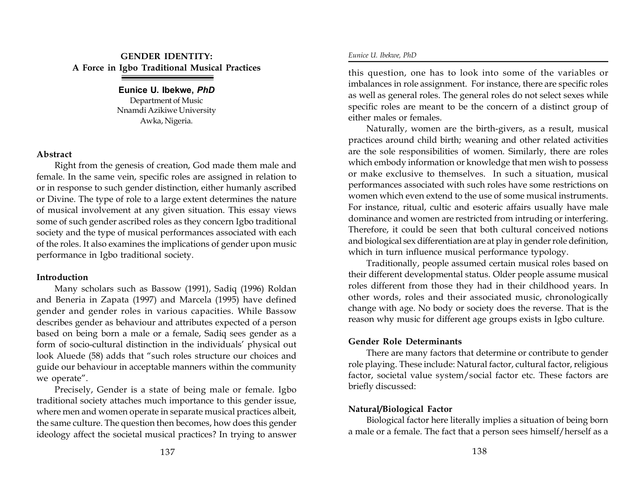# **GENDER IDENTITY: A Force in Igbo Traditional Musical Practices**

#### **Eunice U. Ibekwe,** *PhD* Department of Music Nnamdi Azikiwe University Awka, Nigeria.

## **Abstract**

Right from the genesis of creation, God made them male and female. In the same vein, specific roles are assigned in relation to or in response to such gender distinction, either humanly ascribed or Divine. The type of role to a large extent determines the nature of musical involvement at any given situation. This essay views some of such gender ascribed roles as they concern Igbo traditional society and the type of musical performances associated with each of the roles. It also examines the implications of gender upon music performance in Igbo traditional society.

### **Introduction**

Many scholars such as Bassow (1991), Sadiq (1996) Roldan and Beneria in Zapata (1997) and Marcela (1995) have defined gender and gender roles in various capacities. While Bassow describes gender as behaviour and attributes expected of a person based on being born a male or a female, Sadiq sees gender as a form of socio-cultural distinction in the individuals' physical out look Aluede (58) adds that "such roles structure our choices and guide our behaviour in acceptable manners within the community we operate".

Precisely, Gender is a state of being male or female. Igbo traditional society attaches much importance to this gender issue, where men and women operate in separate musical practices albeit, the same culture. The question then becomes, how does this gender ideology affect the societal musical practices? In trying to answer this question, one has to look into some of the variables or imbalances in role assignment. For instance, there are specific roles as well as general roles. The general roles do not select sexes while specific roles are meant to be the concern of a distinct group of either males or females.

Naturally, women are the birth-givers, as a result, musical practices around child birth; weaning and other related activities are the sole responsibilities of women. Similarly, there are roles which embody information or knowledge that men wish to possess or make exclusive to themselves. In such a situation, musical performances associated with such roles have some restrictions on women which even extend to the use of some musical instruments. For instance, ritual, cultic and esoteric affairs usually have male dominance and women are restricted from intruding or interfering. Therefore, it could be seen that both cultural conceived notions and biological sex differentiation are at play in gender role definition, which in turn influence musical performance typology.

Traditionally, people assumed certain musical roles based on their different developmental status. Older people assume musical roles different from those they had in their childhood years. In other words, roles and their associated music, chronologically change with age. No body or society does the reverse. That is the reason why music for different age groups exists in Igbo culture.

# **Gender Role Determinants**

There are many factors that determine or contribute to gender role playing. These include: Natural factor, cultural factor, religious factor, societal value system/social factor etc. These factors are briefly discussed:

# **Natural/Biological Factor**

Biological factor here literally implies a situation of being born a male or a female. The fact that a person sees himself/herself as a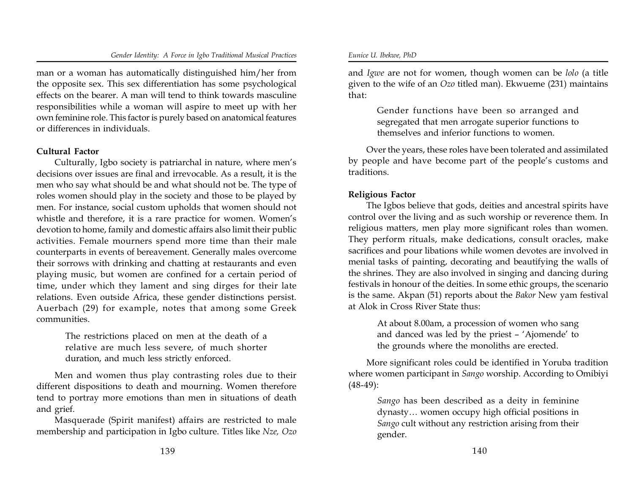#### *Gender Identity: A Force in Igbo Traditional Musical Practices Eunice U. Ibekwe, PhD*

man or a woman has automatically distinguished him/her from the opposite sex. This sex differentiation has some psychological effects on the bearer. A man will tend to think towards masculine responsibilities while a woman will aspire to meet up with her own feminine role. This factor is purely based on anatomical features or differences in individuals.

### **Cultural Factor**

Culturally, Igbo society is patriarchal in nature, where men's decisions over issues are final and irrevocable. As a result, it is the men who say what should be and what should not be. The type of roles women should play in the society and those to be played by men. For instance, social custom upholds that women should not whistle and therefore, it is a rare practice for women. Women's devotion to home, family and domestic affairs also limit their public activities. Female mourners spend more time than their male counterparts in events of bereavement. Generally males overcome their sorrows with drinking and chatting at restaurants and even playing music, but women are confined for a certain period of time, under which they lament and sing dirges for their late relations. Even outside Africa, these gender distinctions persist. Auerbach (29) for example, notes that among some Greek communities.

> The restrictions placed on men at the death of a relative are much less severe, of much shorter duration, and much less strictly enforced.

Men and women thus play contrasting roles due to their different dispositions to death and mourning. Women therefore tend to portray more emotions than men in situations of death and grief.

Masquerade (Spirit manifest) affairs are restricted to male membership and participation in Igbo culture. Titles like *Nze, Ozo* and *Igwe* are not for women, though women can be *lolo* (a title given to the wife of an *Ozo* titled man). Ekwueme (231) maintains that:

> Gender functions have been so arranged and segregated that men arrogate superior functions to themselves and inferior functions to women.

Over the years, these roles have been tolerated and assimilated by people and have become part of the people's customs and traditions.

## **Religious Factor**

The Igbos believe that gods, deities and ancestral spirits have control over the living and as such worship or reverence them. In religious matters, men play more significant roles than women. They perform rituals, make dedications, consult oracles, make sacrifices and pour libations while women devotes are involved in menial tasks of painting, decorating and beautifying the walls of the shrines. They are also involved in singing and dancing during festivals in honour of the deities. In some ethic groups, the scenario is the same. Akpan (51) reports about the *Bakor* New yam festival at Alok in Cross River State thus:

> At about 8.00am, a procession of women who sang and danced was led by the priest – 'Ajomende' to the grounds where the monoliths are erected.

More significant roles could be identified in Yoruba tradition where women participant in *Sango* worship. According to Omibiyi (48-49):

> *Sango* has been described as a deity in feminine dynasty… women occupy high official positions in *Sango* cult without any restriction arising from their gender.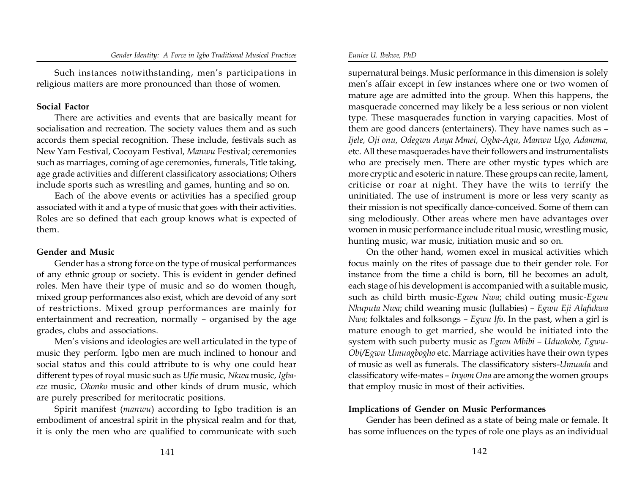Such instances notwithstanding, men's participations in religious matters are more pronounced than those of women.

## **Social Factor**

There are activities and events that are basically meant for socialisation and recreation. The society values them and as such accords them special recognition. These include, festivals such as New Yam Festival, Cocoyam Festival, *Manwu* Festival; ceremonies such as marriages, coming of age ceremonies, funerals, Title taking, age grade activities and different classificatory associations; Others include sports such as wrestling and games, hunting and so on.

Each of the above events or activities has a specified group associated with it and a type of music that goes with their activities. Roles are so defined that each group knows what is expected of them.

# **Gender and Music**

Gender has a strong force on the type of musical performances of any ethnic group or society. This is evident in gender defined roles. Men have their type of music and so do women though, mixed group performances also exist, which are devoid of any sort of restrictions. Mixed group performances are mainly for entertainment and recreation, normally – organised by the age grades, clubs and associations.

Men's visions and ideologies are well articulated in the type of music they perform. Igbo men are much inclined to honour and social status and this could attribute to is why one could hear different types of royal music such as *Ufie* music, *Nkwa* music, *Igbaeze* music, *Okonko* music and other kinds of drum music, which are purely prescribed for meritocratic positions.

Spirit manifest (*manwu*) according to Igbo tradition is an embodiment of ancestral spirit in the physical realm and for that, it is only the men who are qualified to communicate with such

supernatural beings. Music performance in this dimension is solely men's affair except in few instances where one or two women of mature age are admitted into the group. When this happens, the masquerade concerned may likely be a less serious or non violent type. These masquerades function in varying capacities. Most of them are good dancers (entertainers). They have names such as – *Ijele, Oji onu, Odegwu Anya Mmei, Ogba-Agu, Manwu Ugo, Adamma,* etc. All these masquerades have their followers and instrumentalists who are precisely men. There are other mystic types which are more cryptic and esoteric in nature. These groups can recite, lament, criticise or roar at night. They have the wits to terrify the uninitiated. The use of instrument is more or less very scanty as their mission is not specifically dance-conceived. Some of them can sing melodiously. Other areas where men have advantages over women in music performance include ritual music, wrestling music, hunting music, war music, initiation music and so on.

On the other hand, women excel in musical activities which focus mainly on the rites of passage due to their gender role. For instance from the time a child is born, till he becomes an adult, each stage of his development is accompanied with a suitable music, such as child birth music-*Egwu Nwa*; child outing music-*Egwu Nkuputa Nwa*; child weaning music (lullabies) – *Egwu Eji Alafukwa Nwa;* folktales and folksongs – *Egwu Ifo*. In the past, when a girl is mature enough to get married, she would be initiated into the system with such puberty music as *Egwu Mbibi – Uduokobe, Egwu-Obi/Egwu Umuagbogho* etc. Marriage activities have their own types of music as well as funerals. The classificatory sisters-*Umuada* and classificatory wife-mates – *Inyom Ona* are among the women groups that employ music in most of their activities.

# **Implications of Gender on Music Performances**

Gender has been defined as a state of being male or female. It has some influences on the types of role one plays as an individual